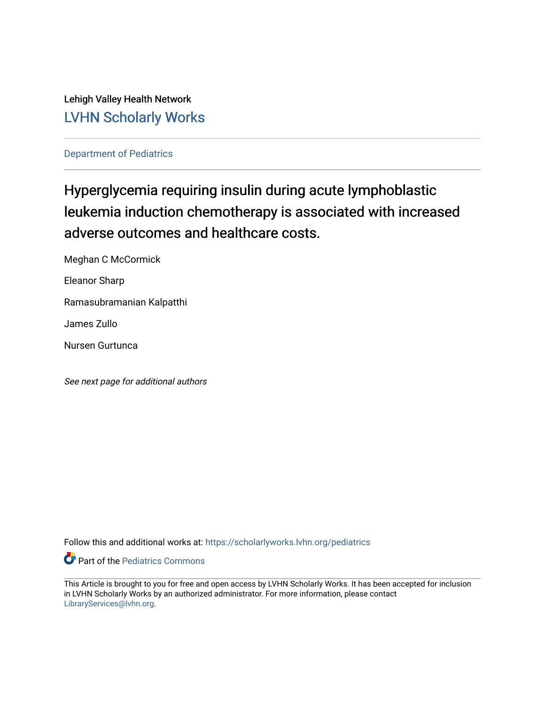Lehigh Valley Health Network [LVHN Scholarly Works](https://scholarlyworks.lvhn.org/)

[Department of Pediatrics](https://scholarlyworks.lvhn.org/pediatrics)

# Hyperglycemia requiring insulin during acute lymphoblastic leukemia induction chemotherapy is associated with increased adverse outcomes and healthcare costs.

Meghan C McCormick

Eleanor Sharp

Ramasubramanian Kalpatthi

James Zullo

Nursen Gurtunca

See next page for additional authors

Follow this and additional works at: [https://scholarlyworks.lvhn.org/pediatrics](https://scholarlyworks.lvhn.org/pediatrics?utm_source=scholarlyworks.lvhn.org%2Fpediatrics%2F448&utm_medium=PDF&utm_campaign=PDFCoverPages)

**Part of the [Pediatrics Commons](http://network.bepress.com/hgg/discipline/700?utm_source=scholarlyworks.lvhn.org%2Fpediatrics%2F448&utm_medium=PDF&utm_campaign=PDFCoverPages)** 

This Article is brought to you for free and open access by LVHN Scholarly Works. It has been accepted for inclusion in LVHN Scholarly Works by an authorized administrator. For more information, please contact [LibraryServices@lvhn.org](mailto:LibraryServices@lvhn.org).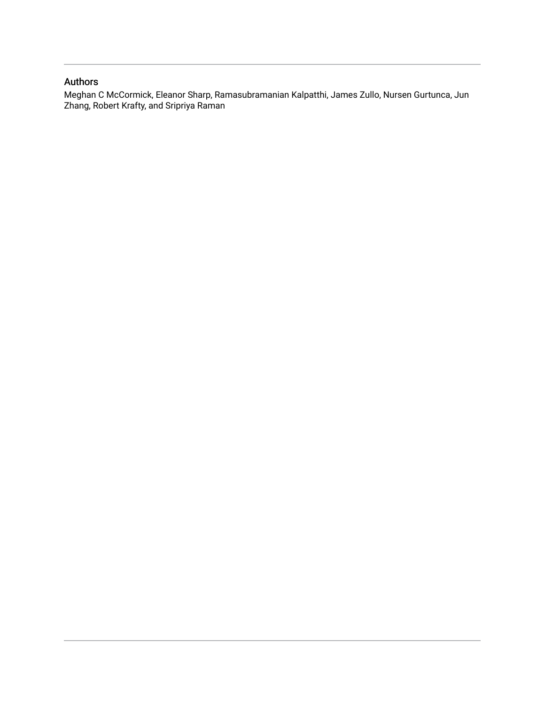# Authors

Meghan C McCormick, Eleanor Sharp, Ramasubramanian Kalpatthi, James Zullo, Nursen Gurtunca, Jun Zhang, Robert Krafty, and Sripriya Raman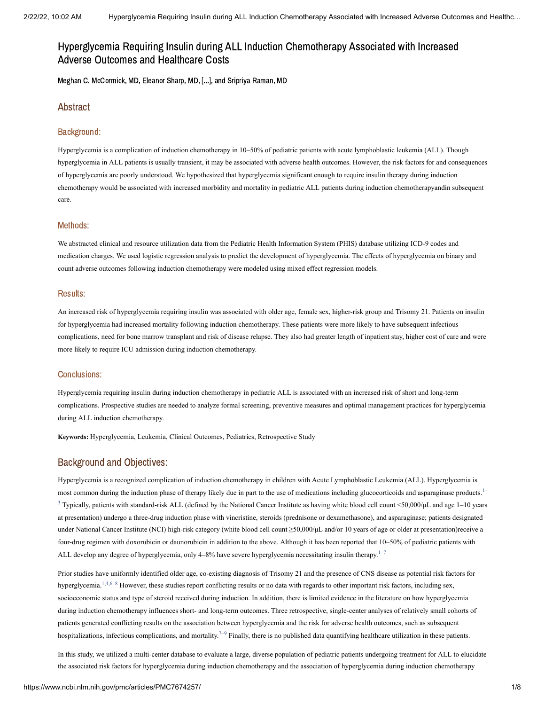# Hyperglycemia Requiring Insulin during ALL Induction Chemotherapy Associated with Increased Adverse Outcomes and Healthcare Costs

Meghan C. McCormick, MD, Eleanor Sharp, MD, [...], and Sripriya Raman, MD

# Abstract

### Background:

Hyperglycemia is a complication of induction chemotherapy in 10–50% of pediatric patients with acute lymphoblastic leukemia (ALL). Though hyperglycemia in ALL patients is usually transient, it may be associated with adverse health outcomes. However, the risk factors for and consequences of hyperglycemia are poorly understood. We hypothesized that hyperglycemia significant enough to require insulin therapy during induction chemotherapy would be associated with increased morbidity and mortality in pediatric ALL patients during induction chemotherapyandin subsequent care.

#### Methods:

We abstracted clinical and resource utilization data from the Pediatric Health Information System (PHIS) database utilizing ICD-9 codes and medication charges. We used logistic regression analysis to predict the development of hyperglycemia. The effects of hyperglycemia on binary and count adverse outcomes following induction chemotherapy were modeled using mixed effect regression models.

#### Results:

An increased risk of hyperglycemia requiring insulin was associated with older age, female sex, higher-risk group and Trisomy 21. Patients on insulin for hyperglycemia had increased mortality following induction chemotherapy. These patients were more likely to have subsequent infectious complications, need for bone marrow transplant and risk of disease relapse. They also had greater length of inpatient stay, higher cost of care and were more likely to require ICU admission during induction chemotherapy.

#### Conclusions:

Hyperglycemia requiring insulin during induction chemotherapy in pediatric ALL is associated with an increased risk of short and long-term complications. Prospective studies are needed to analyze formal screening, preventive measures and optimal management practices for hyperglycemia during ALL induction chemotherapy.

**Keywords:** Hyperglycemia, Leukemia, Clinical Outcomes, Pediatrics, Retrospective Study

# Background and Objectives:

Hyperglycemia is a recognized complication of induction chemotherapy in children with Acute Lymphoblastic Leukemia (ALL). Hyperglycemia is most common during the induction phase of therapy likely due in part to the use of medications including glucocorticoids and asparaginase products.<sup>[1–](#page-8-0)</sup>  $3$  Typically, patients with standard-risk ALL (defined by the National Cancer Institute as having white blood cell count <50,000/ $\mu$ L and age 1–10 years at presentation) undergo a three-drug induction phase with vincristine, steroids (prednisone or dexamethasone), and asparaginase; patients designated under National Cancer Institute (NCI) high-risk category (white blood cell count ≥50,000/μL and/or 10 years of age or older at presentation)receive a four-drug regimen with doxorubicin or daunorubicin in addition to the above. Although it has been reported that 10–50% of pediatric patients with ALL develop any degree of hyperglycemia, only  $4-8%$  have severe hyperglycemia necessitating insulin therapy.<sup>1-[7](#page-8-2)</sup>

Prior studies have uniformly identified older age, co-existing diagnosis of Trisomy 21 and the presence of CNS disease as potential risk factors for hyperglycemia.<sup>[1,](#page-8-0)[4,](#page-8-3)[6–](#page-8-4)[8](#page-8-5)</sup> However, these studies report conflicting results or no data with regards to other important risk factors, including sex, socioeconomic status and type of steroid received during induction. In addition, there is limited evidence in the literature on how hyperglycemia during induction chemotherapy influences short- and long-term outcomes. Three retrospective, single-center analyses of relatively small cohorts of patients generated conflicting results on the association between hyperglycemia and the risk for adverse health outcomes, such as subsequent hospitalizations, infectious complications, and mortality.<sup> $7-9$  $7-9$ </sup> Finally, there is no published data quantifying healthcare utilization in these patients.

In this study, we utilized a multi-center database to evaluate a large, diverse population of pediatric patients undergoing treatment for ALL to elucidate the associated risk factors for hyperglycemia during induction chemotherapy and the association of hyperglycemia during induction chemotherapy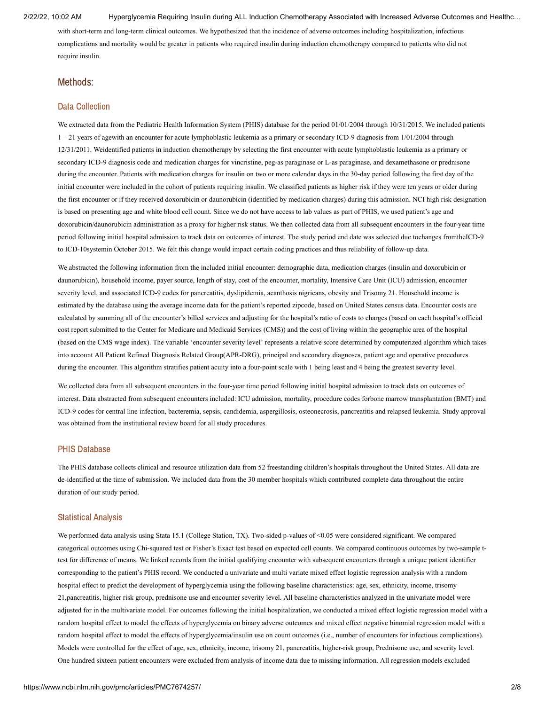with short-term and long-term clinical outcomes. We hypothesized that the incidence of adverse outcomes including hospitalization, infectious complications and mortality would be greater in patients who required insulin during induction chemotherapy compared to patients who did not require insulin.

#### Methods:

#### Data Collection

We extracted data from the Pediatric Health Information System (PHIS) database for the period 01/01/2004 through 10/31/2015. We included patients 1 – 21 years of agewith an encounter for acute lymphoblastic leukemia as a primary or secondary ICD-9 diagnosis from 1/01/2004 through 12/31/2011. Weidentified patients in induction chemotherapy by selecting the first encounter with acute lymphoblastic leukemia as a primary or secondary ICD-9 diagnosis code and medication charges for vincristine, peg-as paraginase or L-as paraginase, and dexamethasone or prednisone during the encounter. Patients with medication charges for insulin on two or more calendar days in the 30-day period following the first day of the initial encounter were included in the cohort of patients requiring insulin. We classified patients as higher risk if they were ten years or older during the first encounter or if they received doxorubicin or daunorubicin (identified by medication charges) during this admission. NCI high risk designation is based on presenting age and white blood cell count. Since we do not have access to lab values as part of PHIS, we used patient's age and doxorubicin/daunorubicin administration as a proxy for higher risk status. We then collected data from all subsequent encounters in the four-year time period following initial hospital admission to track data on outcomes of interest. The study period end date was selected due tochanges fromtheICD-9 to ICD-10systemin October 2015. We felt this change would impact certain coding practices and thus reliability of follow-up data.

We abstracted the following information from the included initial encounter: demographic data, medication charges (insulin and doxorubicin or daunorubicin), household income, payer source, length of stay, cost of the encounter, mortality, Intensive Care Unit (ICU) admission, encounter severity level, and associated ICD-9 codes for pancreatitis, dyslipidemia, acanthosis nigricans, obesity and Trisomy 21. Household income is estimated by the database using the average income data for the patient's reported zipcode, based on United States census data. Encounter costs are calculated by summing all of the encounter's billed services and adjusting for the hospital's ratio of costs to charges (based on each hospital's official cost report submitted to the Center for Medicare and Medicaid Services (CMS)) and the cost of living within the geographic area of the hospital (based on the CMS wage index). The variable 'encounter severity level' represents a relative score determined by computerized algorithm which takes into account All Patient Refined Diagnosis Related Group(APR-DRG), principal and secondary diagnoses, patient age and operative procedures during the encounter. This algorithm stratifies patient acuity into a four-point scale with 1 being least and 4 being the greatest severity level.

We collected data from all subsequent encounters in the four-year time period following initial hospital admission to track data on outcomes of interest. Data abstracted from subsequent encounters included: ICU admission, mortality, procedure codes forbone marrow transplantation (BMT) and ICD-9 codes for central line infection, bacteremia, sepsis, candidemia, aspergillosis, osteonecrosis, pancreatitis and relapsed leukemia. Study approval was obtained from the institutional review board for all study procedures.

#### PHIS Database

The PHIS database collects clinical and resource utilization data from 52 freestanding children's hospitals throughout the United States. All data are de-identified at the time of submission. We included data from the 30 member hospitals which contributed complete data throughout the entire duration of our study period.

#### Statistical Analysis

We performed data analysis using Stata 15.1 (College Station, TX). Two-sided p-values of <0.05 were considered significant. We compared categorical outcomes using Chi-squared test or Fisher's Exact test based on expected cell counts. We compared continuous outcomes by two-sample ttest for difference of means. We linked records from the initial qualifying encounter with subsequent encounters through a unique patient identifier corresponding to the patient's PHIS record. We conducted a univariate and multi variate mixed effect logistic regression analysis with a random hospital effect to predict the development of hyperglycemia using the following baseline characteristics: age, sex, ethnicity, income, trisomy 21,pancreatitis, higher risk group, prednisone use and encounter severity level. All baseline characteristics analyzed in the univariate model were adjusted for in the multivariate model. For outcomes following the initial hospitalization, we conducted a mixed effect logistic regression model with a random hospital effect to model the effects of hyperglycemia on binary adverse outcomes and mixed effect negative binomial regression model with a random hospital effect to model the effects of hyperglycemia/insulin use on count outcomes (i.e., number of encounters for infectious complications). Models were controlled for the effect of age, sex, ethnicity, income, trisomy 21, pancreatitis, higher-risk group, Prednisone use, and severity level. One hundred sixteen patient encounters were excluded from analysis of income data due to missing information. All regression models excluded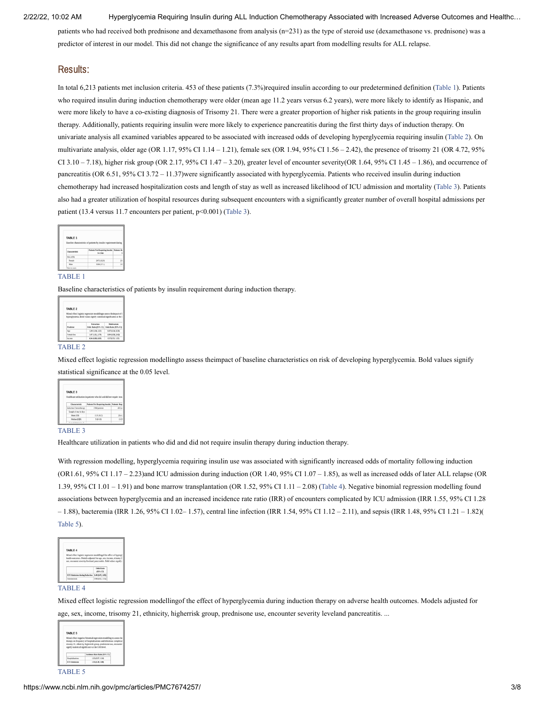patients who had received both prednisone and dexamethasone from analysis (n=231) as the type of steroid use (dexamethasone vs. prednisone) was a predictor of interest in our model. This did not change the significance of any results apart from modelling results for ALL relapse.

### Results:

In total 6,213 patients met inclusion criteria. 453 of these patients (7.3%)required insulin according to our predetermined definition ([Table](https://www.ncbi.nlm.nih.gov/pmc/articles/PMC7674257/table/T1/?report=objectonly) 1). Patients who required insulin during induction chemotherapy were older (mean age 11.2 years versus 6.2 years), were more likely to identify as Hispanic, and were more likely to have a co-existing diagnosis of Trisomy 21. There were a greater proportion of higher risk patients in the group requiring insulin therapy. Additionally, patients requiring insulin were more likely to experience pancreatitis during the first thirty days of induction therapy. On univariate analysis all examined variables appeared to be associated with increased odds of developing hyperglycemia requiring insulin ([Table](https://www.ncbi.nlm.nih.gov/pmc/articles/PMC7674257/table/T2/?report=objectonly) 2). On multivariate analysis, older age (OR 1.17, 95% CI 1.14 – 1.21), female sex (OR 1.94, 95% CI 1.56 – 2.42), the presence of trisomy 21 (OR 4.72, 95% CI  $3.10 - 7.18$ ), higher risk group (OR  $2.17$ , 95% CI  $1.47 - 3.20$ ), greater level of encounter severity(OR  $1.64$ , 95% CI  $1.45 - 1.86$ ), and occurrence of pancreatitis (OR 6.51, 95% CI 3.72 – 11.37)were significantly associated with hyperglycemia. Patients who received insulin during induction chemotherapy had increased hospitalization costs and length of stay as well as increased likelihood of ICU admission and mortality [\(Table](https://www.ncbi.nlm.nih.gov/pmc/articles/PMC7674257/table/T3/?report=objectonly) 3). Patients also had a greater utilization of hospital resources during subsequent encounters with a significantly greater number of overall hospital admissions per patient (13.4 versus 11.7 encounters per patient, p<0.001) ([Table](https://www.ncbi.nlm.nih.gov/pmc/articles/PMC7674257/table/T3/?report=objectonly) 3).

| TABLE 1        |                                                                    |    |
|----------------|--------------------------------------------------------------------|----|
|                |                                                                    |    |
|                |                                                                    |    |
|                | Baseline characteristics of patients by insulin requirement during |    |
|                |                                                                    |    |
|                | Patients Not Requiring Insulin Patients Rx                         |    |
| Characteristic | $N = 1768$                                                         |    |
| Sex, n (%)     |                                                                    |    |
| Female         | 2472 (42.5)                                                        | 23 |
| Male           | 3288 (57.1)                                                        | 28 |

#### [TABLE](https://www.ncbi.nlm.nih.gov/pmc/articles/PMC7674257/table/T1/?report=objectonly) 1

Baseline characteristics of patients by insulin requirement during induction therapy.

| TABLE 2    |                                                                                                                                            |                                          |
|------------|--------------------------------------------------------------------------------------------------------------------------------------------|------------------------------------------|
|            | Mixed effect logistic regression modellingto assess theimpact of b<br>hyperglycenia. Bold values signify statistical significance at the C |                                          |
|            |                                                                                                                                            |                                          |
|            | Univertate                                                                                                                                 | Mabivariate                              |
| Predictor  | Odds Ratio (95% CI)                                                                                                                        |                                          |
| Age        | 1.20 (1.18, 1.22)                                                                                                                          | 1.17 (1.14, 1.21)                        |
| Female Sex | 1.47 (1.21, 1.7%)                                                                                                                          | Odds Ratio (95% CI)<br>1.54 (1.54, 2.42) |

#### [TABLE](https://www.ncbi.nlm.nih.gov/pmc/articles/PMC7674257/table/T2/?report=objectonly) 2

Mixed effect logistic regression modellingto assess theimpact of baseline characteristics on risk of developing hyperglycemia. Bold values signify statistical significance at the 0.05 level.

|                         | Healthcare utilization in patients who did and did not require insu |         |
|-------------------------|---------------------------------------------------------------------|---------|
| Characteristic          | <b>Patients Not Requiring Insulin Patients Req</b>                  |         |
|                         |                                                                     |         |
| Induction Cherootherapy | 5760 patients                                                       | $453 +$ |
| Length of stay in days  |                                                                     |         |
| Mean (SD)               | 11.9 (10.2)                                                         | 20.4    |

#### [TABLE](https://www.ncbi.nlm.nih.gov/pmc/articles/PMC7674257/table/T3/?report=objectonly) 3

Healthcare utilization in patients who did and did not require insulin therapy during induction therapy.

With regression modelling, hyperglycemia requiring insulin use was associated with significantly increased odds of mortality following induction (OR1.61, 95% CI 1.17 – 2.23)and ICU admission during induction (OR 1.40, 95% CI 1.07 – 1.85), as well as increased odds of later ALL relapse (OR 1.39, 95% CI 1.01 – 1.91) and bone marrow transplantation (OR 1.52, 95% CI 1.11 – 2.08) [\(Table](https://www.ncbi.nlm.nih.gov/pmc/articles/PMC7674257/table/T4/?report=objectonly) 4). Negative binomial regression modelling found associations between hyperglycemia and an increased incidence rate ratio (IRR) of encounters complicated by ICU admission (IRR 1.55, 95% CI 1.28 – 1.88), bacteremia (IRR 1.26, 95% CI 1.02– 1.57), central line infection (IRR 1.54, 95% CI 1.12 – 2.11), and sepsis (IRR 1.48, 95% CI 1.21 – 1.82)( [Table](https://www.ncbi.nlm.nih.gov/pmc/articles/PMC7674257/table/T5/?report=objectonly) 5).

| Mixed effect logistic regression modellingof the effect of hypergl  |           |  |
|---------------------------------------------------------------------|-----------|--|
| health outcomes. Models adjusted for age, sex, income, trisomy 2    |           |  |
| use, encounter severity leveland pancreatitis. Bold values signify- |           |  |
|                                                                     |           |  |
|                                                                     |           |  |
|                                                                     | Odds Rade |  |
|                                                                     | ensni CD  |  |
| ICU Admission during Induction 1.40 (1.87, 1.85)                    |           |  |

#### [TABLE](https://www.ncbi.nlm.nih.gov/pmc/articles/PMC7674257/table/T4/?report=objectonly) 4

Mixed effect logistic regression modellingof the effect of hyperglycemia during induction therapy on adverse health outcomes. Models adjusted for age, sex, income, trisomy 21, ethnicity, higherrisk group, prednisone use, encounter severity leveland pancreatitis. ...

|                         | Mixed effect negative binomial regression modelling to assess the<br>therapy on frequency of hospitalizations and infectious complicati<br>trisomy 21, ethnicity, higherrisk group, prednisone use, encounter.<br>signify statistical significance at the 0.05 level. |  |
|-------------------------|-----------------------------------------------------------------------------------------------------------------------------------------------------------------------------------------------------------------------------------------------------------------------|--|
|                         | Incidence Rate Ratio (95% Cl)                                                                                                                                                                                                                                         |  |
| <b>Hospitalizations</b> | 1.05 (0.97, 1.14)                                                                                                                                                                                                                                                     |  |
|                         |                                                                                                                                                                                                                                                                       |  |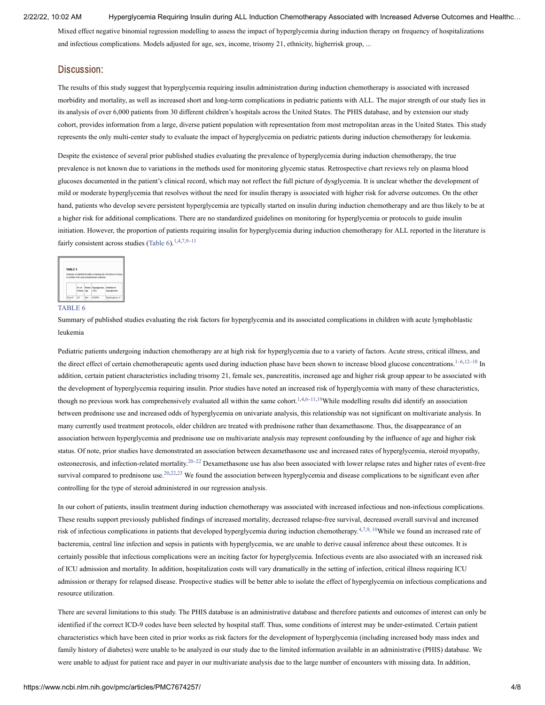Mixed effect negative binomial regression modelling to assess the impact of hyperglycemia during induction therapy on frequency of hospitalizations and infectious complications. Models adjusted for age, sex, income, trisomy 21, ethnicity, higherrisk group, ...

### Discussion:

The results of this study suggest that hyperglycemia requiring insulin administration during induction chemotherapy is associated with increased morbidity and mortality, as well as increased short and long-term complications in pediatric patients with ALL. The major strength of our study lies in its analysis of over 6,000 patients from 30 different children's hospitals across the United States. The PHIS database, and by extension our study cohort, provides information from a large, diverse patient population with representation from most metropolitan areas in the United States. This study represents the only multi-center study to evaluate the impact of hyperglycemia on pediatric patients during induction chemotherapy for leukemia.

Despite the existence of several prior published studies evaluating the prevalence of hyperglycemia during induction chemotherapy, the true prevalence is not known due to variations in the methods used for monitoring glycemic status. Retrospective chart reviews rely on plasma blood glucoses documented in the patient's clinical record, which may not reflect the full picture of dysglycemia. It is unclear whether the development of mild or moderate hyperglycemia that resolves without the need for insulin therapy is associated with higher risk for adverse outcomes. On the other hand, patients who develop severe persistent hyperglycemia are typically started on insulin during induction chemotherapy and are thus likely to be at a higher risk for additional complications. There are no standardized guidelines on monitoring for hyperglycemia or protocols to guide insulin initiation. However, the proportion of patients requiring insulin for hyperglycemia during induction chemotherapy for ALL reported in the literature is fairly consistent across studies [\(Table](https://www.ncbi.nlm.nih.gov/pmc/articles/PMC7674257/table/T6/?report=objectonly)  $6$ ).<sup>[1](#page-8-0),[4](#page-8-3)[,7,](#page-8-2)[9–](#page-8-6)[11](#page-8-7)</sup>

| <b>TABLE 6</b> |              |                                               |                                                                   |
|----------------|--------------|-----------------------------------------------|-------------------------------------------------------------------|
|                |              | in children with acute lymphoblastic leukemia | Summary of published studies evaluating the risk factors for hype |
|                |              |                                               |                                                                   |
|                |              |                                               |                                                                   |
|                |              |                                               |                                                                   |
|                | No. of       | Patient Hyperglycenia, Definition of          |                                                                   |
|                | Patients Age | m(56)                                         | <b>Hyperglycensia</b>                                             |

#### [TABLE](https://www.ncbi.nlm.nih.gov/pmc/articles/PMC7674257/table/T6/?report=objectonly) 6

Summary of published studies evaluating the risk factors for hyperglycemia and its associated complications in children with acute lymphoblastic leukemia

Pediatric patients undergoing induction chemotherapy are at high risk for hyperglycemia due to a variety of factors. Acute stress, critical illness, and the direct effect of certain chemotherapeutic agents used during induction phase have been shown to increase blood glucose concentrations.  $1-6,12-18$  $1-6,12-18$  $1-6,12-18$  In addition, certain patient characteristics including trisomy 21, female sex, pancreatitis, increased age and higher risk group appear to be associated with the development of hyperglycemia requiring insulin. Prior studies have noted an increased risk of hyperglycemia with many of these characteristics, though no previous work has comprehensively evaluated all within the same cohort.<sup>[1](#page-8-0),[4,](#page-8-3)[6](#page-8-4)[–11](#page-8-7)[,19](#page-9-1)</sup>While modelling results did identify an association between prednisone use and increased odds of hyperglycemia on univariate analysis, this relationship was not significant on multivariate analysis. In many currently used treatment protocols, older children are treated with prednisone rather than dexamethasone. Thus, the disappearance of an association between hyperglycemia and prednisone use on multivariate analysis may represent confounding by the influence of age and higher risk status. Of note, prior studies have demonstrated an association between dexamethasone use and increased rates of hyperglycemia, steroid myopathy, osteonecrosis, and infection-related mortality.<sup>[20](#page-9-2)[–22](#page-9-3)</sup> Dexamethasone use has also been associated with lower relapse rates and higher rates of event-free survival compared to prednisone use.<sup>[20](#page-9-2),[22,](#page-9-3)[23](#page-9-4)</sup> We found the association between hyperglycemia and disease complications to be significant even after controlling for the type of steroid administered in our regression analysis.

In our cohort of patients, insulin treatment during induction chemotherapy was associated with increased infectious and non-infectious complications. These results support previously published findings of increased mortality, decreased relapse-free survival, decreased overall survival and increased risk of infectious complications in patients that developed hyperglycemia during induction chemotherapy.<sup>[4](#page-8-3),[7,](#page-8-2)[9](#page-8-6), [10](#page-8-9)</sup>While we found an increased rate of bacteremia, central line infection and sepsis in patients with hyperglycemia, we are unable to derive causal inference about these outcomes. It is certainly possible that infectious complications were an inciting factor for hyperglycemia. Infectious events are also associated with an increased risk of ICU admission and mortality. In addition, hospitalization costs will vary dramatically in the setting of infection, critical illness requiring ICU admission or therapy for relapsed disease. Prospective studies will be better able to isolate the effect of hyperglycemia on infectious complications and resource utilization.

There are several limitations to this study. The PHIS database is an administrative database and therefore patients and outcomes of interest can only be identified if the correct ICD-9 codes have been selected by hospital staff. Thus, some conditions of interest may be under-estimated. Certain patient characteristics which have been cited in prior works as risk factors for the development of hyperglycemia (including increased body mass index and family history of diabetes) were unable to be analyzed in our study due to the limited information available in an administrative (PHIS) database. We were unable to adjust for patient race and payer in our multivariate analysis due to the large number of encounters with missing data. In addition,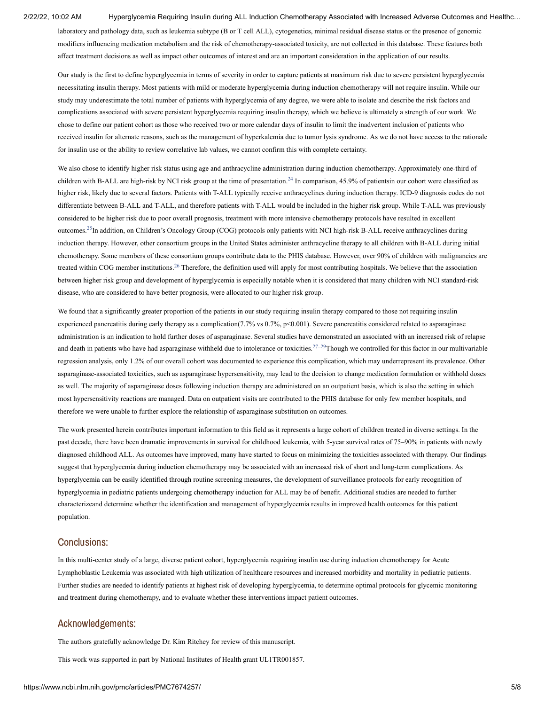laboratory and pathology data, such as leukemia subtype (B or T cell ALL), cytogenetics, minimal residual disease status or the presence of genomic modifiers influencing medication metabolism and the risk of chemotherapy-associated toxicity, are not collected in this database. These features both affect treatment decisions as well as impact other outcomes of interest and are an important consideration in the application of our results.

Our study is the first to define hyperglycemia in terms of severity in order to capture patients at maximum risk due to severe persistent hyperglycemia necessitating insulin therapy. Most patients with mild or moderate hyperglycemia during induction chemotherapy will not require insulin. While our study may underestimate the total number of patients with hyperglycemia of any degree, we were able to isolate and describe the risk factors and complications associated with severe persistent hyperglycemia requiring insulin therapy, which we believe is ultimately a strength of our work. We chose to define our patient cohort as those who received two or more calendar days of insulin to limit the inadvertent inclusion of patients who received insulin for alternate reasons, such as the management of hyperkalemia due to tumor lysis syndrome. As we do not have access to the rationale for insulin use or the ability to review correlative lab values, we cannot confirm this with complete certainty.

We also chose to identify higher risk status using age and anthracycline administration during induction chemotherapy. Approximately one-third of children with B-ALL are high-risk by NCI risk group at the time of presentation.<sup>[24](#page-9-5)</sup> In comparison, 45.9% of patientsin our cohort were classified as higher risk, likely due to several factors. Patients with T-ALL typically receive anthracyclines during induction therapy. ICD-9 diagnosis codes do not differentiate between B-ALL and T-ALL, and therefore patients with T-ALL would be included in the higher risk group. While T-ALL was previously considered to be higher risk due to poor overall prognosis, treatment with more intensive chemotherapy protocols have resulted in excellent outcomes.<sup>[25](#page-9-6)</sup>In addition, on Children's Oncology Group (COG) protocols only patients with NCI high-risk B-ALL receive anthracyclines during induction therapy. However, other consortium groups in the United States administer anthracycline therapy to all children with B-ALL during initial chemotherapy. Some members of these consortium groups contribute data to the PHIS database. However, over 90% of children with malignancies are treated within COG member institutions.<sup>[26](#page-9-7)</sup> Therefore, the definition used will apply for most contributing hospitals. We believe that the association between higher risk group and development of hyperglycemia is especially notable when it is considered that many children with NCI standard-risk disease, who are considered to have better prognosis, were allocated to our higher risk group.

We found that a significantly greater proportion of the patients in our study requiring insulin therapy compared to those not requiring insulin experienced pancreatitis during early therapy as a complication(7.7% vs  $0.7\%$ , p<0.001). Severe pancreatitis considered related to asparaginase administration is an indication to hold further doses of asparaginase. Several studies have demonstrated an associated with an increased risk of relapse and death in patients who have had asparaginase withheld due to intolerance or toxicities.<sup>[27–](#page-9-8)[29](#page-9-9)</sup>Though we controlled for this factor in our multivariable regression analysis, only 1.2% of our overall cohort was documented to experience this complication, which may underrepresent its prevalence. Other asparaginase-associated toxicities, such as asparaginase hypersensitivity, may lead to the decision to change medication formulation or withhold doses as well. The majority of asparaginase doses following induction therapy are administered on an outpatient basis, which is also the setting in which most hypersensitivity reactions are managed. Data on outpatient visits are contributed to the PHIS database for only few member hospitals, and therefore we were unable to further explore the relationship of asparaginase substitution on outcomes.

The work presented herein contributes important information to this field as it represents a large cohort of children treated in diverse settings. In the past decade, there have been dramatic improvements in survival for childhood leukemia, with 5-year survival rates of 75–90% in patients with newly diagnosed childhood ALL. As outcomes have improved, many have started to focus on minimizing the toxicities associated with therapy. Our findings suggest that hyperglycemia during induction chemotherapy may be associated with an increased risk of short and long-term complications. As hyperglycemia can be easily identified through routine screening measures, the development of surveillance protocols for early recognition of hyperglycemia in pediatric patients undergoing chemotherapy induction for ALL may be of benefit. Additional studies are needed to further characterizeand determine whether the identification and management of hyperglycemia results in improved health outcomes for this patient population.

### Conclusions:

In this multi-center study of a large, diverse patient cohort, hyperglycemia requiring insulin use during induction chemotherapy for Acute Lymphoblastic Leukemia was associated with high utilization of healthcare resources and increased morbidity and mortality in pediatric patients. Further studies are needed to identify patients at highest risk of developing hyperglycemia, to determine optimal protocols for glycemic monitoring and treatment during chemotherapy, and to evaluate whether these interventions impact patient outcomes.

# Acknowledgements:

The authors gratefully acknowledge Dr. Kim Ritchey for review of this manuscript.

This work was supported in part by National Institutes of Health grant UL1TR001857.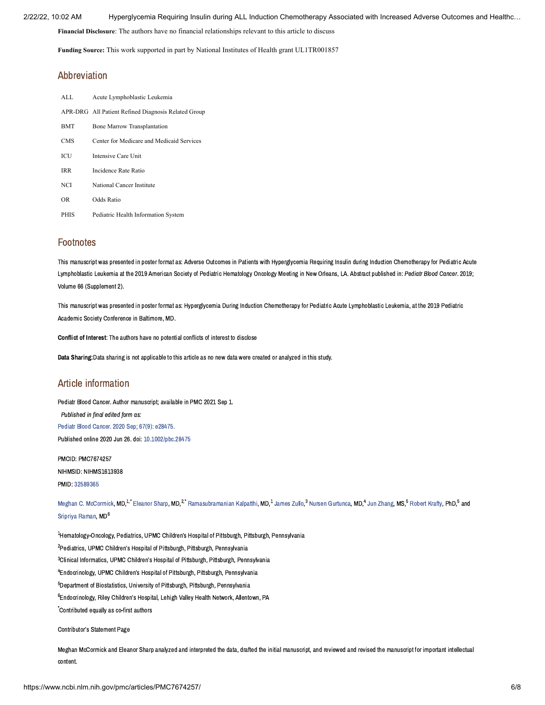**Financial Disclosure**: The authors have no financial relationships relevant to this article to discuss

**Funding Source:** This work supported in part by National Institutes of Health grant UL1TR001857

### Abbreviation

| ALL.       | Acute Lymphoblastic Leukemia                        |
|------------|-----------------------------------------------------|
|            | APR-DRG All Patient Refined Diagnosis Related Group |
| <b>BMT</b> | <b>Bone Marrow Transplantation</b>                  |
| <b>CMS</b> | Center for Medicare and Medicaid Services           |
| ICU        | Intensive Care Unit                                 |
| IRR        | Incidence Rate Ratio                                |
| NCI        | National Cancer Institute                           |
| OR         | Odds Ratio                                          |
| PHIS       | Pediatric Health Information System                 |

# **Footnotes**

This manuscript was presented in poster format as: Adverse Outcomes in Patients with Hyperglycemia Requiring Insulin during Induction Chemotherapy for Pediatric Acute Lymphoblastic Leukemia at the 2019 American Society of Pediatric Hematology Oncology Meeting in New Orleans, LA. Abstract published in: Pediatr Blood Cancer. 2019; Volume 66 (Supplement 2).

This manuscript was presented in poster format as: Hyperglycemia During Induction Chemotherapy for Pediatric Acute Lymphoblastic Leukemia, at the 2019 Pediatric Academic Society Conference in Baltimore, MD.

Conflict of Interest: The authors have no potential conflicts of interest to disclose

Data Sharing:Data sharing is not applicable to this article as no new data were created or analyzed in this study.

# Article information

Pediatr Blood Cancer. Author manuscript; available in PMC 2021 Sep 1. Published in final edited form as: Pediatr Blood Cancer. 2020 Sep; 67(9): [e28475.](https://www.ncbi.nlm.nih.gov/entrez/eutils/elink.fcgi?dbfrom=pubmed&retmode=ref&cmd=prlinks&id=32589365) Published online 2020 Jun 26. doi: [10.1002/pbc.28475](https://dx.doi.org/10.1002%2Fpbc.28475)

PMCID: PMC7674257 NIHMSID: NIHMS1613938 PMID: [32589365](https://www.ncbi.nlm.nih.gov/pubmed/32589365)

Meghan C. [McCormick,](https://www.ncbi.nlm.nih.gov/pubmed/?term=McCormick%20MC%5BAuthor%5D&cauthor=true&cauthor_uid=32589365) MD.<sup>1,\*</sup> [Eleanor](https://www.ncbi.nlm.nih.gov/pubmed/?term=Sharp%20E%5BAuthor%5D&cauthor=true&cauthor_uid=32589365) Sharp, MD.<sup>2,\*</sup> [Ramasubramanian](https://www.ncbi.nlm.nih.gov/pubmed/?term=Kalpatthi%20R%5BAuthor%5D&cauthor=true&cauthor_uid=32589365) Kalpatthi, MD.<sup>1</sup> [James](https://www.ncbi.nlm.nih.gov/pubmed/?term=Zullo%20J%5BAuthor%5D&cauthor=true&cauthor_uid=32589365) Zullo.<sup>3</sup> Nursen [Gurtunca](https://www.ncbi.nlm.nih.gov/pubmed/?term=Gurtunca%20N%5BAuthor%5D&cauthor=true&cauthor_uid=32589365), MD.<sup>4</sup> Jun [Zhang](https://www.ncbi.nlm.nih.gov/pubmed/?term=Zhang%20J%5BAuthor%5D&cauthor=true&cauthor_uid=32589365), MS.<sup>5</sup> [Robert](https://www.ncbi.nlm.nih.gov/pubmed/?term=Krafty%20R%5BAuthor%5D&cauthor=true&cauthor_uid=32589365) Krafty, PhD.<sup>5</sup> and [Sripriya](https://www.ncbi.nlm.nih.gov/pubmed/?term=Raman%20S%5BAuthor%5D&cauthor=true&cauthor_uid=32589365) Raman, MD<sup>6</sup>

 $^{\text{1}}$ Hematology-Oncology, Pediatrics, UPMC Children's Hospital of Pittsburgh, Pittsburgh, Pennsylvania <sup>2</sup> Pediatrics, UPMC Children's Hospital of Pittsburgh, Pittsburgh, Pennsylvania <sup>3</sup> Clinical Informatics, UPMC Children's Hospital of Pittsburgh, Pittsburgh, Pennsylvania <sup>4</sup>Endocrinology, UPMC Children's Hospital of Pittsburgh, Pittsburgh, Pennsylvania  $5$ Department of Biostatistics, University of Pittsburgh, Pittsburgh, Pennsylvania  $^6$ Endocrinology, Riley Children's Hospital, Lehigh Valley Health Network, Allentown, PA Contributed equally as co-first authors \*

Contributor's Statement Page

Meghan McCormick and Eleanor Sharp analyzed and interpreted the data, drafted the initial manuscript, and reviewed and revised the manuscript for important intellectual content.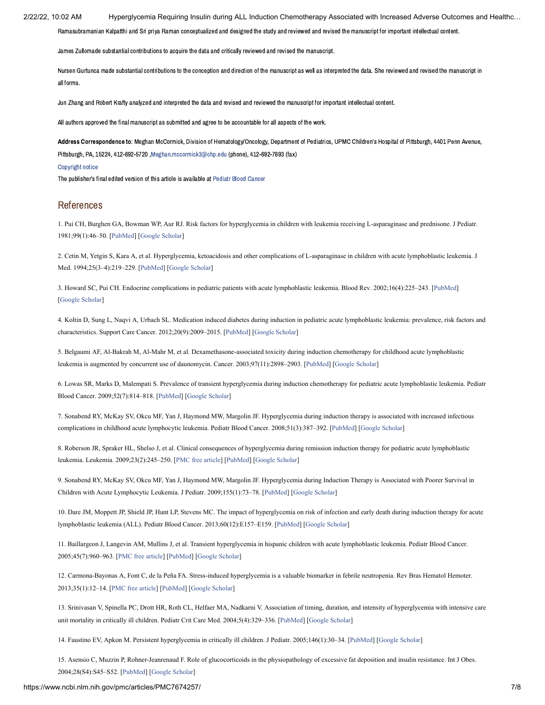Ramasubramanian Kalpatthi and Sri priya Raman conceptualized and designed the study and reviewed and revised the manuscript for important intellectual content.

James Zullomade substantial contributions to acquire the data and critically reviewed and revised the manuscript.

Nursen Gurtunca made substantial contributions to the conception and direction of the manuscript as well as interpreted the data. She reviewed and revised the manuscript in all forms.

Jun Zhang and Robert Krafty analyzed and interpreted the data and revised and reviewed the manuscript for important intellectual content.

All authors approved the final manuscript as submitted and agree to be accountable for all aspects of the work.

Address Correspondence to: Meghan McCormick, Division of Hematology/Oncology, Department of Pediatrics, UPMC Children's Hospital of Pittsburgh, 4401 Penn Avenue, Pittsburgh, PA, 15224, 412-692-5720 ,[Meghan.mccormick3@chp.edu](mailto:dev@null) (phone), 412-692-7693 (fax)

#### [Copyright](https://www.ncbi.nlm.nih.gov/pmc/about/copyright/) notice

The publisher's final edited version of this article is available at [Pediatr](https://www.ncbi.nlm.nih.gov/entrez/eutils/elink.fcgi?dbfrom=pubmed&retmode=ref&cmd=prlinks&id=32589365) Blood Cancer

### References

<span id="page-8-0"></span>1. Pui CH, Burghen GA, Bowman WP, Aur RJ. Risk factors for hyperglycemia in children with leukemia receiving L-asparaginase and prednisone. J Pediatr. 1981;99(1):46–50. [[PubMed](https://www.ncbi.nlm.nih.gov/pubmed/6454771)] [[Google Scholar](https://scholar.google.com/scholar_lookup?journal=J+Pediatr&title=Risk+factors+for+hyperglycemia+in+children+with+leukemia+receiving+L-asparaginase+and+prednisone&author=CH+Pui&author=GA+Burghen&author=WP+Bowman&author=RJ+Aur&volume=99&issue=1&publication_year=1981&pages=46-50&pmid=6454771&)]

2. Cetin M, Yetgin S, Kara A, et al. Hyperglycemia, ketoacidosis and other complications of L-asparaginase in children with acute lymphoblastic leukemia. J Med. 1994;25(3–4):219–229. [[PubMed\]](https://www.ncbi.nlm.nih.gov/pubmed/7996065) [\[Google Scholar](https://scholar.google.com/scholar_lookup?journal=J+Med&title=Hyperglycemia,+ketoacidosis+and+other+complications+of+L-asparaginase+in+children+with+acute+lymphoblastic+leukemia&author=M+Cetin&author=S+Yetgin&author=A+Kara&volume=25&issue=3%E2%80%934&publication_year=1994&pages=219-229&pmid=7996065&)]

<span id="page-8-1"></span>3. Howard SC, Pui CH. Endocrine complications in pediatric patients with acute lymphoblastic leukemia. Blood Rev. 2002;16(4):225–243. [\[PubMed](https://www.ncbi.nlm.nih.gov/pubmed/12350366)] [\[Google Scholar](https://scholar.google.com/scholar_lookup?journal=Blood+Rev&title=Endocrine+complications+in+pediatric+patients+with+acute+lymphoblastic+leukemia&author=SC+Howard&author=CH+Pui&volume=16&issue=4&publication_year=2002&pages=225-243&pmid=12350366&)]

<span id="page-8-3"></span>4. Koltin D, Sung L, Naqvi A, Urbach SL. Medication induced diabetes during induction in pediatric acute lymphoblastic leukemia: prevalence, risk factors and characteristics. Support Care Cancer. 2012;20(9):2009–2015. [[PubMed](https://www.ncbi.nlm.nih.gov/pubmed/22065148)] [[Google Scholar\]](https://scholar.google.com/scholar_lookup?journal=Support+Care+Cancer&title=Medication+induced+diabetes+during+induction+in+pediatric+acute+lymphoblastic+leukemia:+prevalence,+risk+factors+and+characteristics&author=D+Koltin&author=L+Sung&author=A+Naqvi&author=SL+Urbach&volume=20&issue=9&publication_year=2012&pages=2009-2015&pmid=22065148&)

5. Belgaumi AF, Al-Bakrah M, Al-Mahr M, et al. Dexamethasone-associated toxicity during induction chemotherapy for childhood acute lymphoblastic leukemia is augmented by concurrent use of daunomycin. Cancer. 2003;97(11):2898–2903. [[PubMed\]](https://www.ncbi.nlm.nih.gov/pubmed/12767105) [\[Google Scholar\]](https://scholar.google.com/scholar_lookup?journal=Cancer&title=Dexamethasone-associated+toxicity+during+induction+chemotherapy+for+childhood+acute+lymphoblastic+leukemia+is+augmented+by+concurrent+use+of+daunomycin&author=AF+Belgaumi&author=M+Al-Bakrah&author=M+Al-Mahr&volume=97&issue=11&publication_year=2003&pages=2898-2903&pmid=12767105&)

<span id="page-8-4"></span>6. Lowas SR, Marks D, Malempati S. Prevalence of transient hyperglycemia during induction chemotherapy for pediatric acute lymphoblastic leukemia. Pediatr Blood Cancer. 2009;52(7):814–818. [\[PubMed\]](https://www.ncbi.nlm.nih.gov/pubmed/19260096) [\[Google Scholar](https://scholar.google.com/scholar_lookup?journal=Pediatr+Blood+Cancer&title=Prevalence+of+transient+hyperglycemia+during+induction+chemotherapy+for+pediatric+acute+lymphoblastic+leukemia&author=SR+Lowas&author=D+Marks&author=S+Malempati&volume=52&issue=7&publication_year=2009&pages=814-818&pmid=19260096&)]

<span id="page-8-2"></span>7. Sonabend RY, McKay SV, Okcu MF, Yan J, Haymond MW, Margolin JF. Hyperglycemia during induction therapy is associated with increased infectious complications in childhood acute lymphocytic leukemia. Pediatr Blood Cancer. 2008;51(3):387–392. [\[PubMed\]](https://www.ncbi.nlm.nih.gov/pubmed/18523991) [[Google Scholar](https://scholar.google.com/scholar_lookup?journal=Pediatr+Blood+Cancer&title=Hyperglycemia+during+induction+therapy+is+associated+with+increased+infectious+complications+in+childhood+acute+lymphocytic+leukemia&author=RY+Sonabend&author=SV+McKay&author=MF+Okcu&author=J+Yan&author=MW+Haymond&volume=51&issue=3&publication_year=2008&pages=387-392&pmid=18523991&)]

<span id="page-8-5"></span>8. Roberson JR, Spraker HL, Shelso J, et al. Clinical consequences of hyperglycemia during remission induction therapy for pediatric acute lymphoblastic leukemia. Leukemia. 2009;23(2):245–250. [[PMC free article\]](https://www.ncbi.nlm.nih.gov/pmc/articles/PMC2706830/?report=reader) [[PubMed](https://www.ncbi.nlm.nih.gov/pubmed/18923438)] [[Google Scholar\]](https://scholar.google.com/scholar_lookup?journal=Leukemia&title=Clinical+consequences+of+hyperglycemia+during+remission+induction+therapy+for+pediatric+acute+lymphoblastic+leukemia&author=JR+Roberson&author=HL+Spraker&author=J+Shelso&volume=23&issue=2&publication_year=2009&pages=245-250&pmid=18923438&)

<span id="page-8-6"></span>9. Sonabend RY, McKay SV, Okcu MF, Yan J, Haymond MW, Margolin JF. Hyperglycemia during Induction Therapy is Associated with Poorer Survival in Children with Acute Lymphocytic Leukemia. J Pediatr. 2009;155(1):73–78. [[PubMed\]](https://www.ncbi.nlm.nih.gov/pubmed/19394046) [[Google Scholar](https://scholar.google.com/scholar_lookup?journal=J+Pediatr&title=Hyperglycemia+during+Induction+Therapy+is+Associated+with+Poorer+Survival+in+Children+with+Acute+Lymphocytic+Leukemia&author=RY+Sonabend&author=SV+McKay&author=MF+Okcu&author=J+Yan&author=MW+Haymond&volume=155&issue=1&publication_year=2009&pages=73-78&pmid=19394046&)]

<span id="page-8-9"></span>10. Dare JM, Moppett JP, Shield JP, Hunt LP, Stevens MC. The impact of hyperglycemia on risk of infection and early death during induction therapy for acute lymphoblastic leukemia (ALL). Pediatr Blood Cancer. 2013;60(12):E157–E159. [\[PubMed](https://www.ncbi.nlm.nih.gov/pubmed/23868820)] [\[Google Scholar](https://scholar.google.com/scholar_lookup?journal=Pediatr+Blood+Cancer&title=The+impact+of+hyperglycemia+on+risk+of+infection+and+early+death+during+induction+therapy+for+acute+lymphoblastic+leukemia+(ALL)&author=JM+Dare&author=JP+Moppett&author=JP+Shield&author=LP+Hunt&author=MC+Stevens&volume=60&issue=12&publication_year=2013&pages=E157-E159&pmid=23868820&)]

<span id="page-8-7"></span>11. Baillargeon J, Langevin AM, Mullins J, et al. Transient hyperglycemia in hispanic children with acute lymphoblastic leukemia. Pediatr Blood Cancer. 2005;45(7):960–963. [[PMC free article\]](https://www.ncbi.nlm.nih.gov/pmc/articles/PMC3102306/?report=reader) [[PubMed](https://www.ncbi.nlm.nih.gov/pubmed/15700246)] [\[Google Scholar\]](https://scholar.google.com/scholar_lookup?journal=Pediatr+Blood+Cancer&title=Transient+hyperglycemia+in+hispanic+children+with+acute+lymphoblastic+leukemia&author=J+Baillargeon&author=AM+Langevin&author=J+Mullins&volume=45&issue=7&publication_year=2005&pages=960-963&pmid=15700246&)

<span id="page-8-8"></span>12. Carmona-Bayonas A, Font C, de la Peña FA. Stress-induced hyperglycemia is a valuable biomarker in febrile neutropenia. Rev Bras Hematol Hemoter. 2013;35(1):12–14. [[PMC free article](https://www.ncbi.nlm.nih.gov/pmc/articles/PMC3621627/?report=reader)] [\[PubMed\]](https://www.ncbi.nlm.nih.gov/pubmed/23580876) [\[Google Scholar\]](https://scholar.google.com/scholar_lookup?journal=Rev+Bras+Hematol+Hemoter&title=Stress-induced+hyperglycemia+is+a+valuable+biomarker+in+febrile+neutropenia&author=A+Carmona-Bayonas&author=C+Font&author=FA+de+la+Pe%C3%B1a&volume=35&issue=1&publication_year=2013&pages=12-14&pmid=23580876&)

13. Srinivasan V, Spinella PC, Drott HR, Roth CL, Helfaer MA, Nadkarni V. Association of timing, duration, and intensity of hyperglycemia with intensive care unit mortality in critically ill children. Pediatr Crit Care Med. 2004;5(4):329–336. [[PubMed](https://www.ncbi.nlm.nih.gov/pubmed/15215001)] [\[Google Scholar](https://scholar.google.com/scholar_lookup?journal=Pediatr+Crit+Care+Med&title=Association+of+timing,+duration,+and+intensity+of+hyperglycemia+with+intensive+care+unit+mortality+in+critically+ill+children&author=V+Srinivasan&author=PC+Spinella&author=HR+Drott&author=CL+Roth&author=MA+Helfaer&volume=5&issue=4&publication_year=2004&pages=329-336&pmid=15215001&)]

14. Faustino EV, Apkon M. Persistent hyperglycemia in critically ill children. J Pediatr. 2005;146(1):30–34. [[PubMed\]](https://www.ncbi.nlm.nih.gov/pubmed/15644818) [[Google Scholar](https://scholar.google.com/scholar_lookup?journal=J+Pediatr&title=Persistent+hyperglycemia+in+critically+ill+children&author=EV+Faustino&author=M+Apkon&volume=146&issue=1&publication_year=2005&pages=30-34&pmid=15644818&)]

15. Asensio C, Muzzin P, Rohner-Jeanrenaud F. Role of glucocorticoids in the physiopathology of excessive fat deposition and insulin resistance. Int J Obes. 2004;28(S4):S45–S52. [[PubMed](https://www.ncbi.nlm.nih.gov/pubmed/15592486)] [\[Google Scholar](https://scholar.google.com/scholar_lookup?journal=Int+J+Obes&title=Role+of+glucocorticoids+in+the+physiopathology+of+excessive+fat+deposition+and+insulin+resistance&author=C+Asensio&author=P+Muzzin&author=F+Rohner-Jeanrenaud&volume=28&issue=S4&publication_year=2004&pages=S45-S52&)]